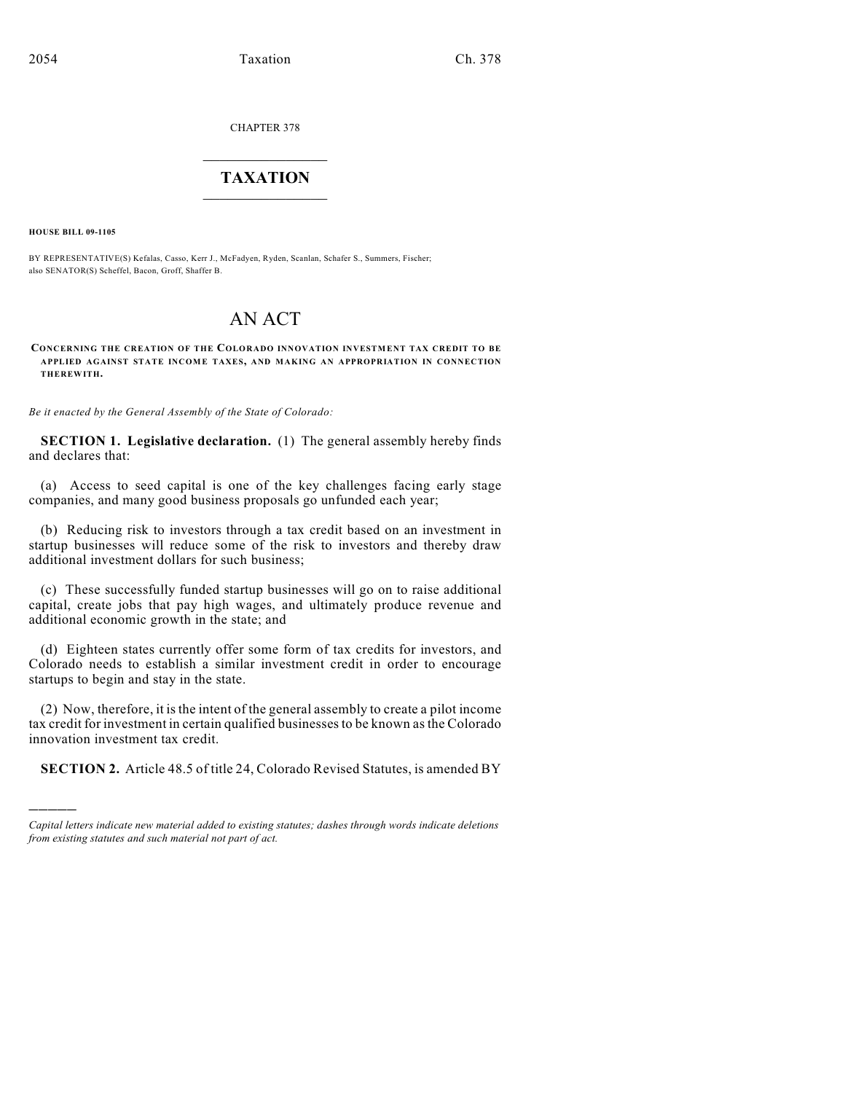CHAPTER 378

## $\overline{\phantom{a}}$  . The set of the set of the set of the set of the set of the set of the set of the set of the set of the set of the set of the set of the set of the set of the set of the set of the set of the set of the set o **TAXATION**  $\_$

**HOUSE BILL 09-1105**

)))))

BY REPRESENTATIVE(S) Kefalas, Casso, Kerr J., McFadyen, Ryden, Scanlan, Schafer S., Summers, Fischer; also SENATOR(S) Scheffel, Bacon, Groff, Shaffer B.

# AN ACT

**CONCERNING THE CREATION OF THE COLORADO INNOVATION INVESTMENT TAX CREDIT TO BE APPLIED AGAINST STATE INCOME TAXES, AND MAKING AN APPROPRIATION IN CONNECTION THEREWITH.**

*Be it enacted by the General Assembly of the State of Colorado:*

**SECTION 1. Legislative declaration.** (1) The general assembly hereby finds and declares that:

(a) Access to seed capital is one of the key challenges facing early stage companies, and many good business proposals go unfunded each year;

(b) Reducing risk to investors through a tax credit based on an investment in startup businesses will reduce some of the risk to investors and thereby draw additional investment dollars for such business;

(c) These successfully funded startup businesses will go on to raise additional capital, create jobs that pay high wages, and ultimately produce revenue and additional economic growth in the state; and

(d) Eighteen states currently offer some form of tax credits for investors, and Colorado needs to establish a similar investment credit in order to encourage startups to begin and stay in the state.

(2) Now, therefore, it is the intent of the general assembly to create a pilot income tax credit for investment in certain qualified businesses to be known as the Colorado innovation investment tax credit.

**SECTION 2.** Article 48.5 of title 24, Colorado Revised Statutes, is amended BY

*Capital letters indicate new material added to existing statutes; dashes through words indicate deletions from existing statutes and such material not part of act.*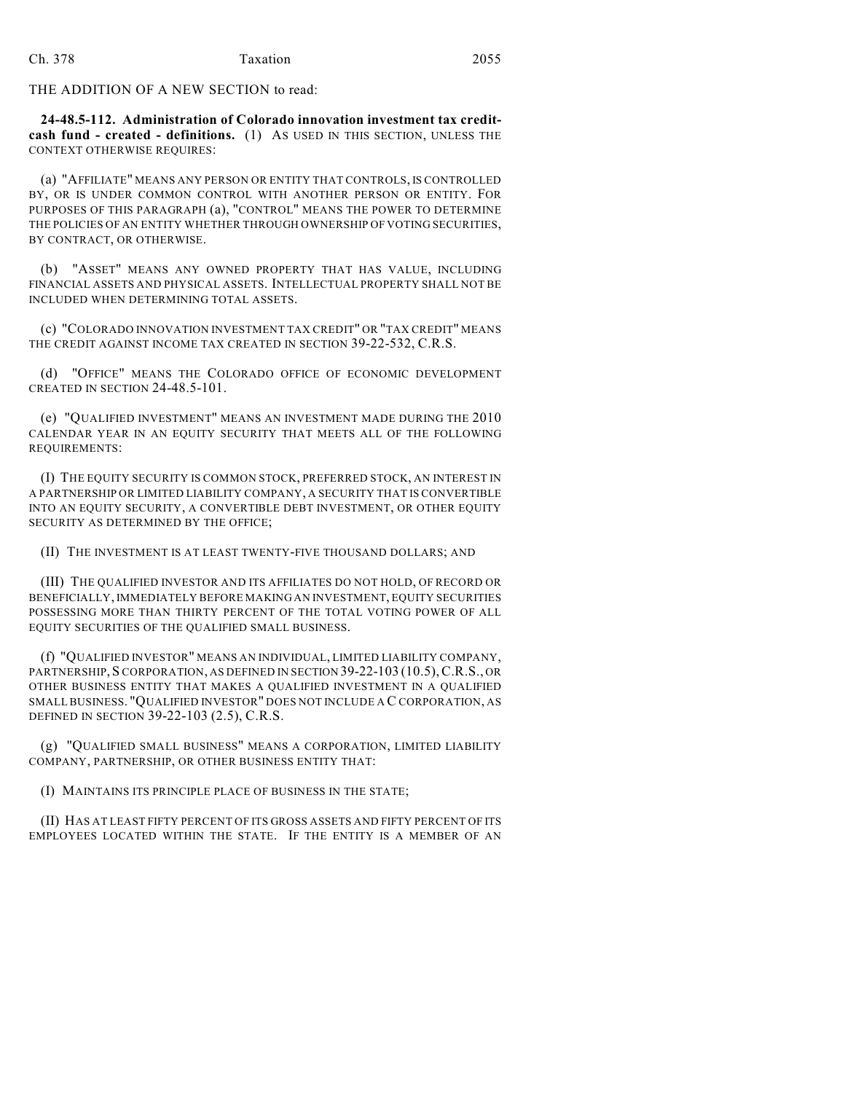THE ADDITION OF A NEW SECTION to read:

**24-48.5-112. Administration of Colorado innovation investment tax creditcash fund - created - definitions.** (1) AS USED IN THIS SECTION, UNLESS THE CONTEXT OTHERWISE REQUIRES:

(a) "AFFILIATE" MEANS ANY PERSON OR ENTITY THAT CONTROLS, IS CONTROLLED BY, OR IS UNDER COMMON CONTROL WITH ANOTHER PERSON OR ENTITY. FOR PURPOSES OF THIS PARAGRAPH (a), "CONTROL" MEANS THE POWER TO DETERMINE THE POLICIES OF AN ENTITY WHETHER THROUGH OWNERSHIP OF VOTING SECURITIES, BY CONTRACT, OR OTHERWISE.

(b) "ASSET" MEANS ANY OWNED PROPERTY THAT HAS VALUE, INCLUDING FINANCIAL ASSETS AND PHYSICAL ASSETS. INTELLECTUAL PROPERTY SHALL NOT BE INCLUDED WHEN DETERMINING TOTAL ASSETS.

(c) "COLORADO INNOVATION INVESTMENT TAX CREDIT" OR "TAX CREDIT" MEANS THE CREDIT AGAINST INCOME TAX CREATED IN SECTION 39-22-532, C.R.S.

(d) "OFFICE" MEANS THE COLORADO OFFICE OF ECONOMIC DEVELOPMENT CREATED IN SECTION 24-48.5-101.

(e) "QUALIFIED INVESTMENT" MEANS AN INVESTMENT MADE DURING THE 2010 CALENDAR YEAR IN AN EQUITY SECURITY THAT MEETS ALL OF THE FOLLOWING REQUIREMENTS:

(I) THE EQUITY SECURITY IS COMMON STOCK, PREFERRED STOCK, AN INTEREST IN A PARTNERSHIP OR LIMITED LIABILITY COMPANY, A SECURITY THAT IS CONVERTIBLE INTO AN EQUITY SECURITY, A CONVERTIBLE DEBT INVESTMENT, OR OTHER EQUITY SECURITY AS DETERMINED BY THE OFFICE;

(II) THE INVESTMENT IS AT LEAST TWENTY-FIVE THOUSAND DOLLARS; AND

(III) THE QUALIFIED INVESTOR AND ITS AFFILIATES DO NOT HOLD, OF RECORD OR BENEFICIALLY, IMMEDIATELY BEFORE MAKING AN INVESTMENT, EQUITY SECURITIES POSSESSING MORE THAN THIRTY PERCENT OF THE TOTAL VOTING POWER OF ALL EQUITY SECURITIES OF THE QUALIFIED SMALL BUSINESS.

(f) "QUALIFIED INVESTOR" MEANS AN INDIVIDUAL, LIMITED LIABILITY COMPANY, PARTNERSHIP, SCORPORATION, AS DEFINED IN SECTION 39-22-103 (10.5), C.R.S., OR OTHER BUSINESS ENTITY THAT MAKES A QUALIFIED INVESTMENT IN A QUALIFIED SMALL BUSINESS. "QUALIFIED INVESTOR" DOES NOT INCLUDE A C CORPORATION, AS DEFINED IN SECTION 39-22-103 (2.5), C.R.S.

(g) "QUALIFIED SMALL BUSINESS" MEANS A CORPORATION, LIMITED LIABILITY COMPANY, PARTNERSHIP, OR OTHER BUSINESS ENTITY THAT:

(I) MAINTAINS ITS PRINCIPLE PLACE OF BUSINESS IN THE STATE;

(II) HAS AT LEAST FIFTY PERCENT OF ITS GROSS ASSETS AND FIFTY PERCENT OF ITS EMPLOYEES LOCATED WITHIN THE STATE. IF THE ENTITY IS A MEMBER OF AN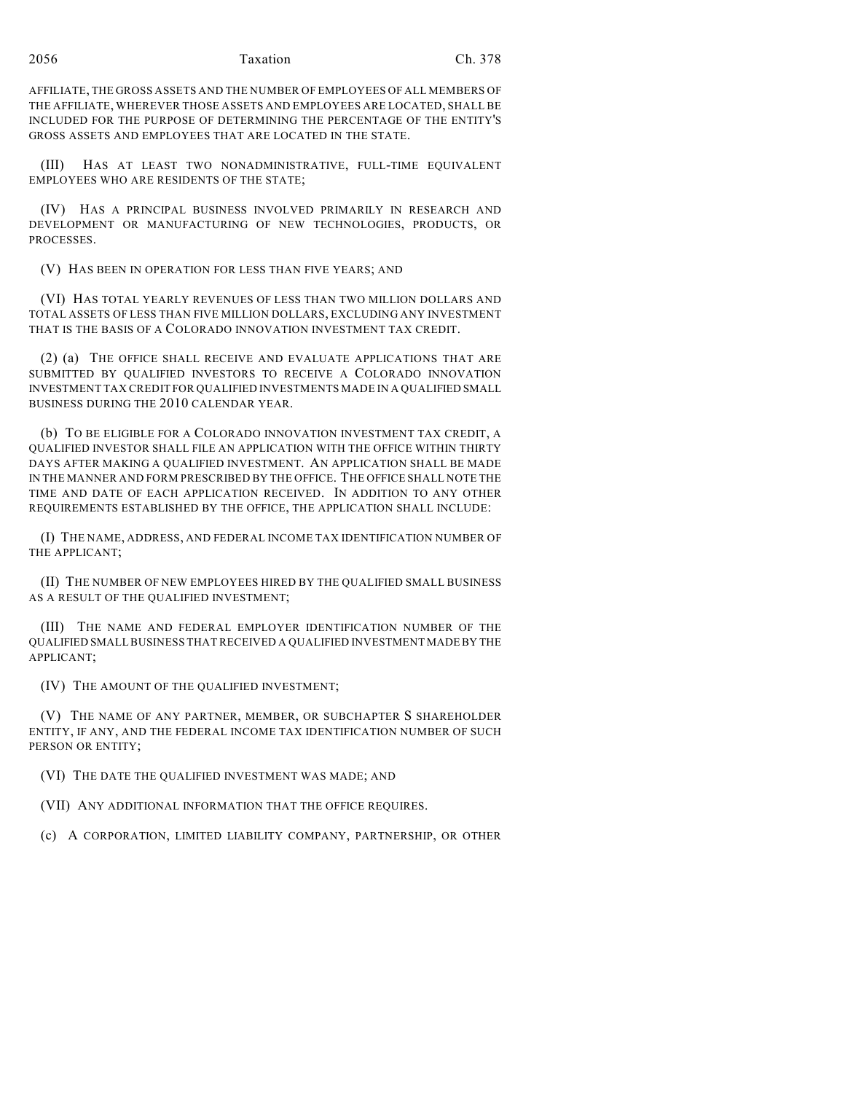AFFILIATE, THE GROSS ASSETS AND THE NUMBER OF EMPLOYEES OF ALL MEMBERS OF THE AFFILIATE, WHEREVER THOSE ASSETS AND EMPLOYEES ARE LOCATED, SHALL BE INCLUDED FOR THE PURPOSE OF DETERMINING THE PERCENTAGE OF THE ENTITY'S GROSS ASSETS AND EMPLOYEES THAT ARE LOCATED IN THE STATE.

(III) HAS AT LEAST TWO NONADMINISTRATIVE, FULL-TIME EQUIVALENT EMPLOYEES WHO ARE RESIDENTS OF THE STATE;

(IV) HAS A PRINCIPAL BUSINESS INVOLVED PRIMARILY IN RESEARCH AND DEVELOPMENT OR MANUFACTURING OF NEW TECHNOLOGIES, PRODUCTS, OR PROCESSES.

(V) HAS BEEN IN OPERATION FOR LESS THAN FIVE YEARS; AND

(VI) HAS TOTAL YEARLY REVENUES OF LESS THAN TWO MILLION DOLLARS AND TOTAL ASSETS OF LESS THAN FIVE MILLION DOLLARS, EXCLUDING ANY INVESTMENT THAT IS THE BASIS OF A COLORADO INNOVATION INVESTMENT TAX CREDIT.

(2) (a) THE OFFICE SHALL RECEIVE AND EVALUATE APPLICATIONS THAT ARE SUBMITTED BY QUALIFIED INVESTORS TO RECEIVE A COLORADO INNOVATION INVESTMENT TAX CREDIT FOR QUALIFIED INVESTMENTS MADE IN A QUALIFIED SMALL BUSINESS DURING THE 2010 CALENDAR YEAR.

(b) TO BE ELIGIBLE FOR A COLORADO INNOVATION INVESTMENT TAX CREDIT, A QUALIFIED INVESTOR SHALL FILE AN APPLICATION WITH THE OFFICE WITHIN THIRTY DAYS AFTER MAKING A QUALIFIED INVESTMENT. AN APPLICATION SHALL BE MADE IN THE MANNER AND FORM PRESCRIBED BY THE OFFICE. THE OFFICE SHALL NOTE THE TIME AND DATE OF EACH APPLICATION RECEIVED. IN ADDITION TO ANY OTHER REQUIREMENTS ESTABLISHED BY THE OFFICE, THE APPLICATION SHALL INCLUDE:

(I) THE NAME, ADDRESS, AND FEDERAL INCOME TAX IDENTIFICATION NUMBER OF THE APPLICANT;

(II) THE NUMBER OF NEW EMPLOYEES HIRED BY THE QUALIFIED SMALL BUSINESS AS A RESULT OF THE QUALIFIED INVESTMENT;

(III) THE NAME AND FEDERAL EMPLOYER IDENTIFICATION NUMBER OF THE QUALIFIED SMALL BUSINESS THAT RECEIVED A QUALIFIED INVESTMENT MADE BY THE APPLICANT;

(IV) THE AMOUNT OF THE QUALIFIED INVESTMENT;

(V) THE NAME OF ANY PARTNER, MEMBER, OR SUBCHAPTER S SHAREHOLDER ENTITY, IF ANY, AND THE FEDERAL INCOME TAX IDENTIFICATION NUMBER OF SUCH PERSON OR ENTITY;

(VI) THE DATE THE QUALIFIED INVESTMENT WAS MADE; AND

(VII) ANY ADDITIONAL INFORMATION THAT THE OFFICE REQUIRES.

(c) A CORPORATION, LIMITED LIABILITY COMPANY, PARTNERSHIP, OR OTHER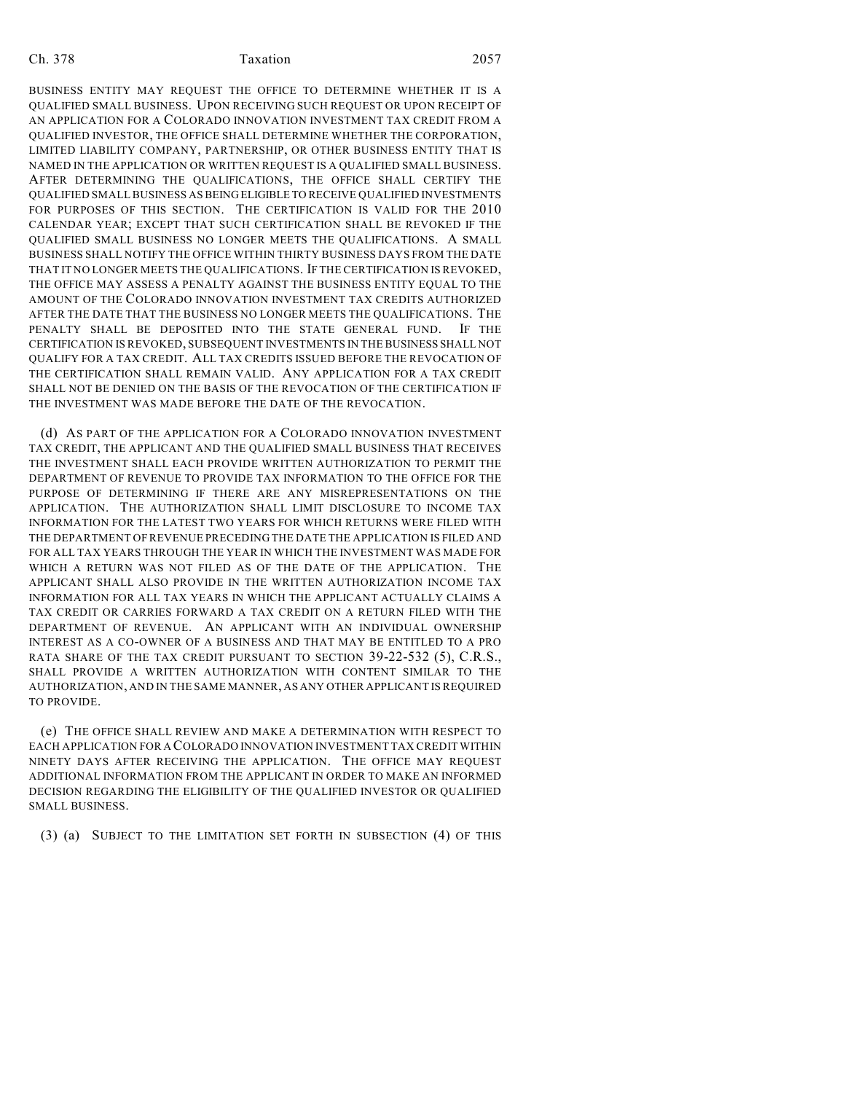### Ch. 378 Taxation 2057

BUSINESS ENTITY MAY REQUEST THE OFFICE TO DETERMINE WHETHER IT IS A QUALIFIED SMALL BUSINESS. UPON RECEIVING SUCH REQUEST OR UPON RECEIPT OF AN APPLICATION FOR A COLORADO INNOVATION INVESTMENT TAX CREDIT FROM A QUALIFIED INVESTOR, THE OFFICE SHALL DETERMINE WHETHER THE CORPORATION, LIMITED LIABILITY COMPANY, PARTNERSHIP, OR OTHER BUSINESS ENTITY THAT IS NAMED IN THE APPLICATION OR WRITTEN REQUEST IS A QUALIFIED SMALL BUSINESS. AFTER DETERMINING THE QUALIFICATIONS, THE OFFICE SHALL CERTIFY THE QUALIFIED SMALL BUSINESS AS BEING ELIGIBLE TO RECEIVE QUALIFIED INVESTMENTS FOR PURPOSES OF THIS SECTION. THE CERTIFICATION IS VALID FOR THE 2010 CALENDAR YEAR; EXCEPT THAT SUCH CERTIFICATION SHALL BE REVOKED IF THE QUALIFIED SMALL BUSINESS NO LONGER MEETS THE QUALIFICATIONS. A SMALL BUSINESS SHALL NOTIFY THE OFFICE WITHIN THIRTY BUSINESS DAYS FROM THE DATE THAT IT NO LONGER MEETS THE QUALIFICATIONS. IF THE CERTIFICATION IS REVOKED, THE OFFICE MAY ASSESS A PENALTY AGAINST THE BUSINESS ENTITY EQUAL TO THE AMOUNT OF THE COLORADO INNOVATION INVESTMENT TAX CREDITS AUTHORIZED AFTER THE DATE THAT THE BUSINESS NO LONGER MEETS THE QUALIFICATIONS. THE PENALTY SHALL BE DEPOSITED INTO THE STATE GENERAL FUND. IF THE CERTIFICATION IS REVOKED, SUBSEQUENT INVESTMENTS IN THE BUSINESS SHALL NOT QUALIFY FOR A TAX CREDIT. ALL TAX CREDITS ISSUED BEFORE THE REVOCATION OF THE CERTIFICATION SHALL REMAIN VALID. ANY APPLICATION FOR A TAX CREDIT SHALL NOT BE DENIED ON THE BASIS OF THE REVOCATION OF THE CERTIFICATION IF THE INVESTMENT WAS MADE BEFORE THE DATE OF THE REVOCATION.

(d) AS PART OF THE APPLICATION FOR A COLORADO INNOVATION INVESTMENT TAX CREDIT, THE APPLICANT AND THE QUALIFIED SMALL BUSINESS THAT RECEIVES THE INVESTMENT SHALL EACH PROVIDE WRITTEN AUTHORIZATION TO PERMIT THE DEPARTMENT OF REVENUE TO PROVIDE TAX INFORMATION TO THE OFFICE FOR THE PURPOSE OF DETERMINING IF THERE ARE ANY MISREPRESENTATIONS ON THE APPLICATION. THE AUTHORIZATION SHALL LIMIT DISCLOSURE TO INCOME TAX INFORMATION FOR THE LATEST TWO YEARS FOR WHICH RETURNS WERE FILED WITH THE DEPARTMENT OFREVENUE PRECEDING THE DATE THE APPLICATION IS FILED AND FOR ALL TAX YEARS THROUGH THE YEAR IN WHICH THE INVESTMENT WAS MADE FOR WHICH A RETURN WAS NOT FILED AS OF THE DATE OF THE APPLICATION. THE APPLICANT SHALL ALSO PROVIDE IN THE WRITTEN AUTHORIZATION INCOME TAX INFORMATION FOR ALL TAX YEARS IN WHICH THE APPLICANT ACTUALLY CLAIMS A TAX CREDIT OR CARRIES FORWARD A TAX CREDIT ON A RETURN FILED WITH THE DEPARTMENT OF REVENUE. AN APPLICANT WITH AN INDIVIDUAL OWNERSHIP INTEREST AS A CO-OWNER OF A BUSINESS AND THAT MAY BE ENTITLED TO A PRO RATA SHARE OF THE TAX CREDIT PURSUANT TO SECTION 39-22-532 (5), C.R.S., SHALL PROVIDE A WRITTEN AUTHORIZATION WITH CONTENT SIMILAR TO THE AUTHORIZATION, AND IN THE SAME MANNER, AS ANY OTHER APPLICANT IS REQUIRED TO PROVIDE.

(e) THE OFFICE SHALL REVIEW AND MAKE A DETERMINATION WITH RESPECT TO EACH APPLICATION FOR A COLORADO INNOVATION INVESTMENT TAX CREDIT WITHIN NINETY DAYS AFTER RECEIVING THE APPLICATION. THE OFFICE MAY REQUEST ADDITIONAL INFORMATION FROM THE APPLICANT IN ORDER TO MAKE AN INFORMED DECISION REGARDING THE ELIGIBILITY OF THE QUALIFIED INVESTOR OR QUALIFIED SMALL BUSINESS.

(3) (a) SUBJECT TO THE LIMITATION SET FORTH IN SUBSECTION (4) OF THIS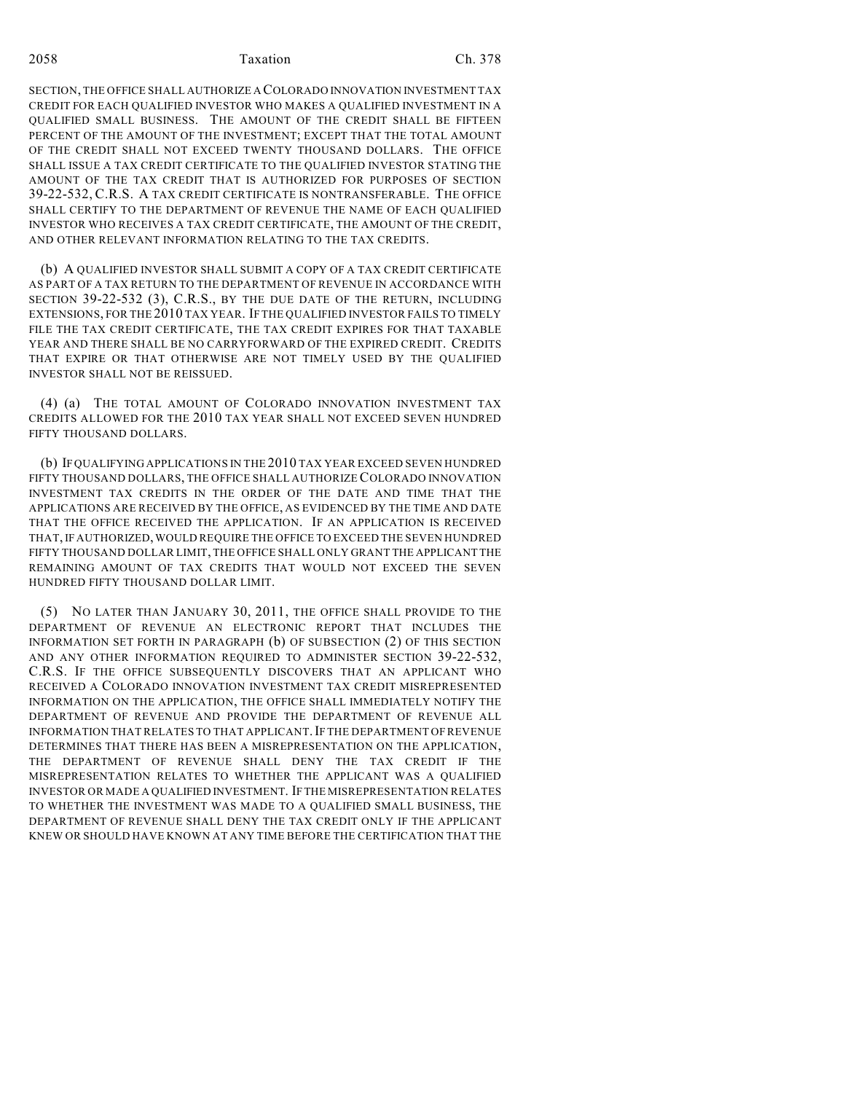2058 Taxation Ch. 378

SECTION, THE OFFICE SHALL AUTHORIZE A COLORADO INNOVATION INVESTMENT TAX CREDIT FOR EACH QUALIFIED INVESTOR WHO MAKES A QUALIFIED INVESTMENT IN A QUALIFIED SMALL BUSINESS. THE AMOUNT OF THE CREDIT SHALL BE FIFTEEN PERCENT OF THE AMOUNT OF THE INVESTMENT; EXCEPT THAT THE TOTAL AMOUNT OF THE CREDIT SHALL NOT EXCEED TWENTY THOUSAND DOLLARS. THE OFFICE SHALL ISSUE A TAX CREDIT CERTIFICATE TO THE QUALIFIED INVESTOR STATING THE AMOUNT OF THE TAX CREDIT THAT IS AUTHORIZED FOR PURPOSES OF SECTION 39-22-532, C.R.S. A TAX CREDIT CERTIFICATE IS NONTRANSFERABLE. THE OFFICE SHALL CERTIFY TO THE DEPARTMENT OF REVENUE THE NAME OF EACH QUALIFIED INVESTOR WHO RECEIVES A TAX CREDIT CERTIFICATE, THE AMOUNT OF THE CREDIT, AND OTHER RELEVANT INFORMATION RELATING TO THE TAX CREDITS.

(b) A QUALIFIED INVESTOR SHALL SUBMIT A COPY OF A TAX CREDIT CERTIFICATE AS PART OF A TAX RETURN TO THE DEPARTMENT OF REVENUE IN ACCORDANCE WITH SECTION 39-22-532 (3), C.R.S., BY THE DUE DATE OF THE RETURN, INCLUDING EXTENSIONS, FOR THE 2010 TAX YEAR. IFTHE QUALIFIED INVESTOR FAILS TO TIMELY FILE THE TAX CREDIT CERTIFICATE, THE TAX CREDIT EXPIRES FOR THAT TAXABLE YEAR AND THERE SHALL BE NO CARRYFORWARD OF THE EXPIRED CREDIT. CREDITS THAT EXPIRE OR THAT OTHERWISE ARE NOT TIMELY USED BY THE QUALIFIED INVESTOR SHALL NOT BE REISSUED.

(4) (a) THE TOTAL AMOUNT OF COLORADO INNOVATION INVESTMENT TAX CREDITS ALLOWED FOR THE 2010 TAX YEAR SHALL NOT EXCEED SEVEN HUNDRED FIFTY THOUSAND DOLLARS.

(b) IF QUALIFYING APPLICATIONS IN THE 2010 TAX YEAR EXCEED SEVEN HUNDRED FIFTY THOUSAND DOLLARS, THE OFFICE SHALL AUTHORIZE COLORADO INNOVATION INVESTMENT TAX CREDITS IN THE ORDER OF THE DATE AND TIME THAT THE APPLICATIONS ARE RECEIVED BY THE OFFICE, AS EVIDENCED BY THE TIME AND DATE THAT THE OFFICE RECEIVED THE APPLICATION. IF AN APPLICATION IS RECEIVED THAT, IF AUTHORIZED, WOULD REQUIRE THE OFFICE TO EXCEED THE SEVEN HUNDRED FIFTY THOUSAND DOLLAR LIMIT, THE OFFICE SHALL ONLY GRANT THE APPLICANT THE REMAINING AMOUNT OF TAX CREDITS THAT WOULD NOT EXCEED THE SEVEN HUNDRED FIFTY THOUSAND DOLLAR LIMIT.

(5) NO LATER THAN JANUARY 30, 2011, THE OFFICE SHALL PROVIDE TO THE DEPARTMENT OF REVENUE AN ELECTRONIC REPORT THAT INCLUDES THE INFORMATION SET FORTH IN PARAGRAPH (b) OF SUBSECTION (2) OF THIS SECTION AND ANY OTHER INFORMATION REQUIRED TO ADMINISTER SECTION 39-22-532, C.R.S. IF THE OFFICE SUBSEQUENTLY DISCOVERS THAT AN APPLICANT WHO RECEIVED A COLORADO INNOVATION INVESTMENT TAX CREDIT MISREPRESENTED INFORMATION ON THE APPLICATION, THE OFFICE SHALL IMMEDIATELY NOTIFY THE DEPARTMENT OF REVENUE AND PROVIDE THE DEPARTMENT OF REVENUE ALL INFORMATION THAT RELATES TO THAT APPLICANT.IF THE DEPARTMENT OF REVENUE DETERMINES THAT THERE HAS BEEN A MISREPRESENTATION ON THE APPLICATION, THE DEPARTMENT OF REVENUE SHALL DENY THE TAX CREDIT IF THE MISREPRESENTATION RELATES TO WHETHER THE APPLICANT WAS A QUALIFIED INVESTOR OR MADE A QUALIFIED INVESTMENT. IF THE MISREPRESENTATION RELATES TO WHETHER THE INVESTMENT WAS MADE TO A QUALIFIED SMALL BUSINESS, THE DEPARTMENT OF REVENUE SHALL DENY THE TAX CREDIT ONLY IF THE APPLICANT KNEW OR SHOULD HAVE KNOWN AT ANY TIME BEFORE THE CERTIFICATION THAT THE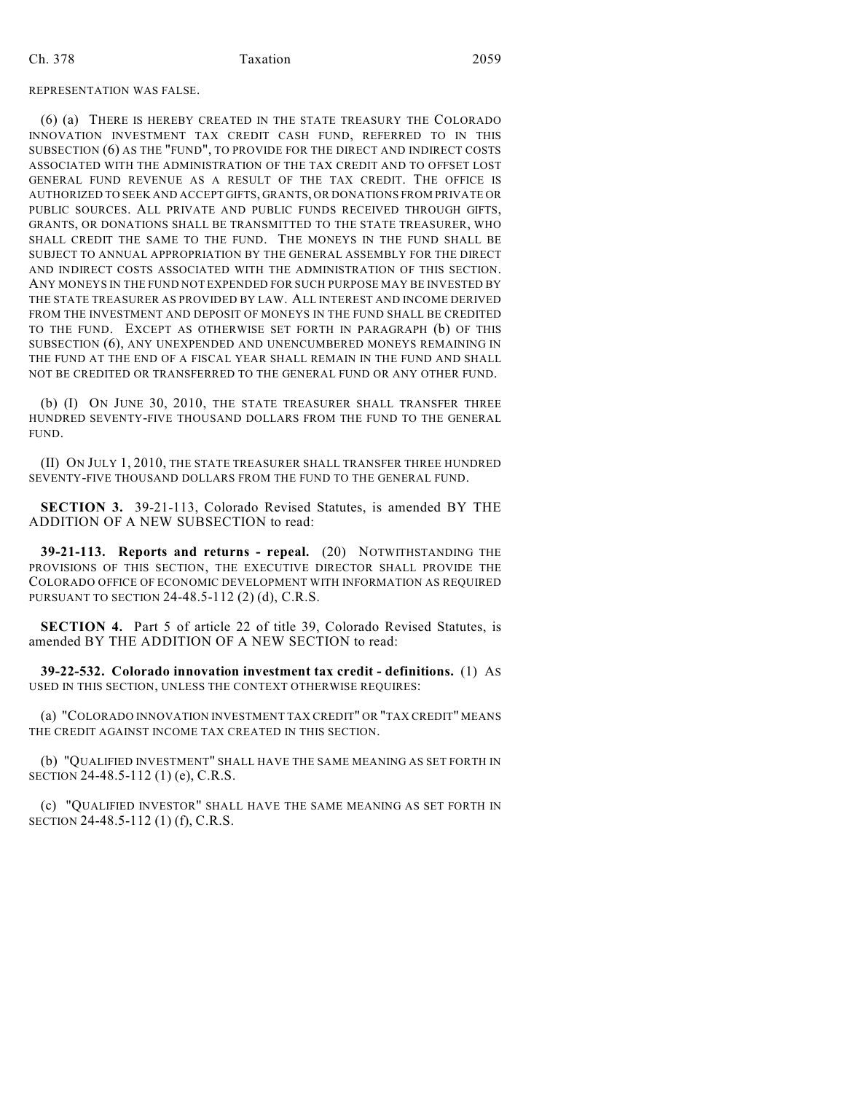#### REPRESENTATION WAS FALSE.

(6) (a) THERE IS HEREBY CREATED IN THE STATE TREASURY THE COLORADO INNOVATION INVESTMENT TAX CREDIT CASH FUND, REFERRED TO IN THIS SUBSECTION (6) AS THE "FUND", TO PROVIDE FOR THE DIRECT AND INDIRECT COSTS ASSOCIATED WITH THE ADMINISTRATION OF THE TAX CREDIT AND TO OFFSET LOST GENERAL FUND REVENUE AS A RESULT OF THE TAX CREDIT. THE OFFICE IS AUTHORIZED TO SEEK AND ACCEPT GIFTS, GRANTS, OR DONATIONS FROM PRIVATE OR PUBLIC SOURCES. ALL PRIVATE AND PUBLIC FUNDS RECEIVED THROUGH GIFTS, GRANTS, OR DONATIONS SHALL BE TRANSMITTED TO THE STATE TREASURER, WHO SHALL CREDIT THE SAME TO THE FUND. THE MONEYS IN THE FUND SHALL BE SUBJECT TO ANNUAL APPROPRIATION BY THE GENERAL ASSEMBLY FOR THE DIRECT AND INDIRECT COSTS ASSOCIATED WITH THE ADMINISTRATION OF THIS SECTION. ANY MONEYS IN THE FUND NOT EXPENDED FOR SUCH PURPOSE MAY BE INVESTED BY THE STATE TREASURER AS PROVIDED BY LAW. ALL INTEREST AND INCOME DERIVED FROM THE INVESTMENT AND DEPOSIT OF MONEYS IN THE FUND SHALL BE CREDITED TO THE FUND. EXCEPT AS OTHERWISE SET FORTH IN PARAGRAPH (b) OF THIS SUBSECTION (6), ANY UNEXPENDED AND UNENCUMBERED MONEYS REMAINING IN THE FUND AT THE END OF A FISCAL YEAR SHALL REMAIN IN THE FUND AND SHALL NOT BE CREDITED OR TRANSFERRED TO THE GENERAL FUND OR ANY OTHER FUND.

(b) (I) ON JUNE 30, 2010, THE STATE TREASURER SHALL TRANSFER THREE HUNDRED SEVENTY-FIVE THOUSAND DOLLARS FROM THE FUND TO THE GENERAL FUND.

(II) ON JULY 1, 2010, THE STATE TREASURER SHALL TRANSFER THREE HUNDRED SEVENTY-FIVE THOUSAND DOLLARS FROM THE FUND TO THE GENERAL FUND.

**SECTION 3.** 39-21-113, Colorado Revised Statutes, is amended BY THE ADDITION OF A NEW SUBSECTION to read:

**39-21-113. Reports and returns - repeal.** (20) NOTWITHSTANDING THE PROVISIONS OF THIS SECTION, THE EXECUTIVE DIRECTOR SHALL PROVIDE THE COLORADO OFFICE OF ECONOMIC DEVELOPMENT WITH INFORMATION AS REQUIRED PURSUANT TO SECTION 24-48.5-112 (2) (d), C.R.S.

**SECTION 4.** Part 5 of article 22 of title 39. Colorado Revised Statutes, is amended BY THE ADDITION OF A NEW SECTION to read:

**39-22-532. Colorado innovation investment tax credit - definitions.** (1) AS USED IN THIS SECTION, UNLESS THE CONTEXT OTHERWISE REQUIRES:

(a) "COLORADO INNOVATION INVESTMENT TAX CREDIT" OR "TAX CREDIT" MEANS THE CREDIT AGAINST INCOME TAX CREATED IN THIS SECTION.

(b) "QUALIFIED INVESTMENT" SHALL HAVE THE SAME MEANING AS SET FORTH IN SECTION 24-48.5-112 (1) (e), C.R.S.

(c) "QUALIFIED INVESTOR" SHALL HAVE THE SAME MEANING AS SET FORTH IN SECTION 24-48.5-112 (1) (f), C.R.S.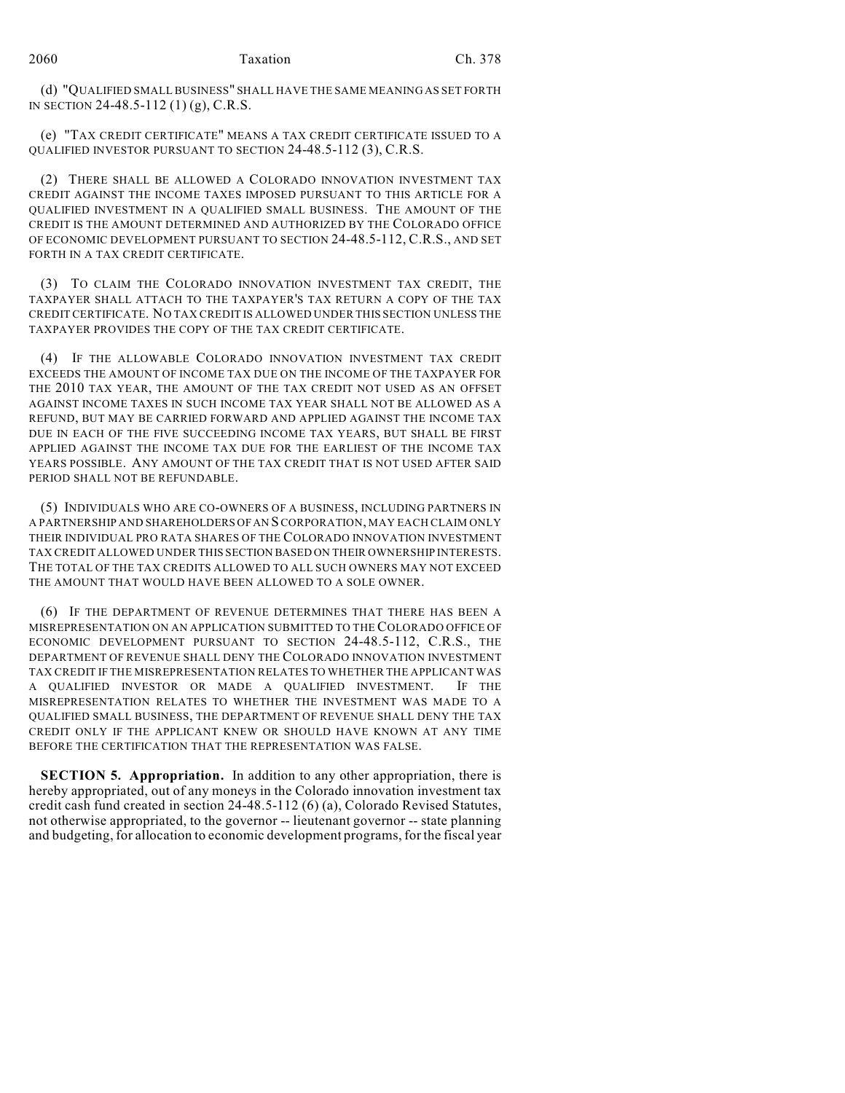(d) "QUALIFIED SMALL BUSINESS" SHALL HAVE THE SAME MEANING AS SET FORTH IN SECTION 24-48.5-112 (1) (g), C.R.S.

(e) "TAX CREDIT CERTIFICATE" MEANS A TAX CREDIT CERTIFICATE ISSUED TO A QUALIFIED INVESTOR PURSUANT TO SECTION 24-48.5-112 (3), C.R.S.

(2) THERE SHALL BE ALLOWED A COLORADO INNOVATION INVESTMENT TAX CREDIT AGAINST THE INCOME TAXES IMPOSED PURSUANT TO THIS ARTICLE FOR A QUALIFIED INVESTMENT IN A QUALIFIED SMALL BUSINESS. THE AMOUNT OF THE CREDIT IS THE AMOUNT DETERMINED AND AUTHORIZED BY THE COLORADO OFFICE OF ECONOMIC DEVELOPMENT PURSUANT TO SECTION 24-48.5-112, C.R.S., AND SET FORTH IN A TAX CREDIT CERTIFICATE.

(3) TO CLAIM THE COLORADO INNOVATION INVESTMENT TAX CREDIT, THE TAXPAYER SHALL ATTACH TO THE TAXPAYER'S TAX RETURN A COPY OF THE TAX CREDIT CERTIFICATE. NO TAX CREDIT IS ALLOWED UNDER THIS SECTION UNLESS THE TAXPAYER PROVIDES THE COPY OF THE TAX CREDIT CERTIFICATE.

(4) IF THE ALLOWABLE COLORADO INNOVATION INVESTMENT TAX CREDIT EXCEEDS THE AMOUNT OF INCOME TAX DUE ON THE INCOME OF THE TAXPAYER FOR THE 2010 TAX YEAR, THE AMOUNT OF THE TAX CREDIT NOT USED AS AN OFFSET AGAINST INCOME TAXES IN SUCH INCOME TAX YEAR SHALL NOT BE ALLOWED AS A REFUND, BUT MAY BE CARRIED FORWARD AND APPLIED AGAINST THE INCOME TAX DUE IN EACH OF THE FIVE SUCCEEDING INCOME TAX YEARS, BUT SHALL BE FIRST APPLIED AGAINST THE INCOME TAX DUE FOR THE EARLIEST OF THE INCOME TAX YEARS POSSIBLE. ANY AMOUNT OF THE TAX CREDIT THAT IS NOT USED AFTER SAID PERIOD SHALL NOT BE REFUNDABLE.

(5) INDIVIDUALS WHO ARE CO-OWNERS OF A BUSINESS, INCLUDING PARTNERS IN A PARTNERSHIP AND SHAREHOLDERS OF AN S CORPORATION, MAY EACH CLAIM ONLY THEIR INDIVIDUAL PRO RATA SHARES OF THE COLORADO INNOVATION INVESTMENT TAX CREDIT ALLOWED UNDER THIS SECTION BASED ON THEIR OWNERSHIP INTERESTS. THE TOTAL OF THE TAX CREDITS ALLOWED TO ALL SUCH OWNERS MAY NOT EXCEED THE AMOUNT THAT WOULD HAVE BEEN ALLOWED TO A SOLE OWNER.

(6) IF THE DEPARTMENT OF REVENUE DETERMINES THAT THERE HAS BEEN A MISREPRESENTATION ON AN APPLICATION SUBMITTED TO THE COLORADO OFFICE OF ECONOMIC DEVELOPMENT PURSUANT TO SECTION 24-48.5-112, C.R.S., THE DEPARTMENT OF REVENUE SHALL DENY THE COLORADO INNOVATION INVESTMENT TAX CREDIT IF THE MISREPRESENTATION RELATES TO WHETHER THE APPLICANT WAS A QUALIFIED INVESTOR OR MADE A QUALIFIED INVESTMENT. IF THE MISREPRESENTATION RELATES TO WHETHER THE INVESTMENT WAS MADE TO A QUALIFIED SMALL BUSINESS, THE DEPARTMENT OF REVENUE SHALL DENY THE TAX CREDIT ONLY IF THE APPLICANT KNEW OR SHOULD HAVE KNOWN AT ANY TIME BEFORE THE CERTIFICATION THAT THE REPRESENTATION WAS FALSE.

**SECTION 5. Appropriation.** In addition to any other appropriation, there is hereby appropriated, out of any moneys in the Colorado innovation investment tax credit cash fund created in section 24-48.5-112 (6) (a), Colorado Revised Statutes, not otherwise appropriated, to the governor -- lieutenant governor -- state planning and budgeting, for allocation to economic development programs, for the fiscal year